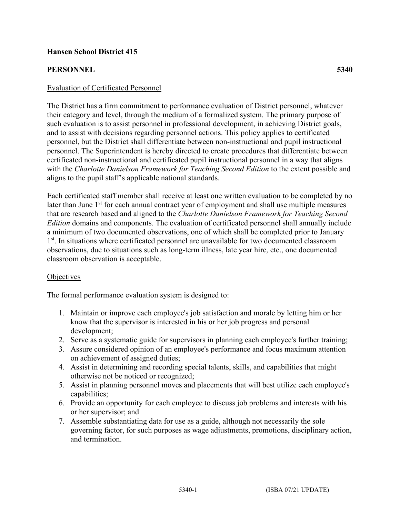## **Hansen School District 415**

## **PERSONNEL 5340**

#### Evaluation of Certificated Personnel

The District has a firm commitment to performance evaluation of District personnel, whatever their category and level, through the medium of a formalized system. The primary purpose of such evaluation is to assist personnel in professional development, in achieving District goals, and to assist with decisions regarding personnel actions. This policy applies to certificated personnel, but the District shall differentiate between non-instructional and pupil instructional personnel. The Superintendent is hereby directed to create procedures that differentiate between certificated non-instructional and certificated pupil instructional personnel in a way that aligns with the *Charlotte Danielson Framework for Teaching Second Edition* to the extent possible and aligns to the pupil staff's applicable national standards.

Each certificated staff member shall receive at least one written evaluation to be completed by no later than June 1<sup>st</sup> for each annual contract year of employment and shall use multiple measures that are research based and aligned to the *Charlotte Danielson Framework for Teaching Second Edition* domains and components. The evaluation of certificated personnel shall annually include a minimum of two documented observations, one of which shall be completed prior to January 1<sup>st</sup>. In situations where certificated personnel are unavailable for two documented classroom observations, due to situations such as long-term illness, late year hire, etc., one documented classroom observation is acceptable.

#### **Objectives**

The formal performance evaluation system is designed to:

- 1. Maintain or improve each employee's job satisfaction and morale by letting him or her know that the supervisor is interested in his or her job progress and personal development;
- 2. Serve as a systematic guide for supervisors in planning each employee's further training;
- 3. Assure considered opinion of an employee's performance and focus maximum attention on achievement of assigned duties;
- 4. Assist in determining and recording special talents, skills, and capabilities that might otherwise not be noticed or recognized;
- 5. Assist in planning personnel moves and placements that will best utilize each employee's capabilities;
- 6. Provide an opportunity for each employee to discuss job problems and interests with his or her supervisor; and
- 7. Assemble substantiating data for use as a guide, although not necessarily the sole governing factor, for such purposes as wage adjustments, promotions, disciplinary action, and termination.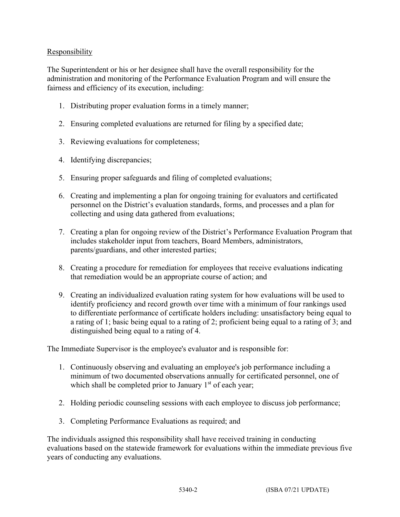# **Responsibility**

The Superintendent or his or her designee shall have the overall responsibility for the administration and monitoring of the Performance Evaluation Program and will ensure the fairness and efficiency of its execution, including:

- 1. Distributing proper evaluation forms in a timely manner;
- 2. Ensuring completed evaluations are returned for filing by a specified date;
- 3. Reviewing evaluations for completeness;
- 4. Identifying discrepancies;
- 5. Ensuring proper safeguards and filing of completed evaluations;
- 6. Creating and implementing a plan for ongoing training for evaluators and certificated personnel on the District's evaluation standards, forms, and processes and a plan for collecting and using data gathered from evaluations;
- 7. Creating a plan for ongoing review of the District's Performance Evaluation Program that includes stakeholder input from teachers, Board Members, administrators, parents/guardians, and other interested parties;
- 8. Creating a procedure for remediation for employees that receive evaluations indicating that remediation would be an appropriate course of action; and
- 9. Creating an individualized evaluation rating system for how evaluations will be used to identify proficiency and record growth over time with a minimum of four rankings used to differentiate performance of certificate holders including: unsatisfactory being equal to a rating of 1; basic being equal to a rating of 2; proficient being equal to a rating of 3; and distinguished being equal to a rating of 4.

The Immediate Supervisor is the employee's evaluator and is responsible for:

- 1. Continuously observing and evaluating an employee's job performance including a minimum of two documented observations annually for certificated personnel, one of which shall be completed prior to January  $1<sup>st</sup>$  of each year;
- 2. Holding periodic counseling sessions with each employee to discuss job performance;
- 3. Completing Performance Evaluations as required; and

The individuals assigned this responsibility shall have received training in conducting evaluations based on the statewide framework for evaluations within the immediate previous five years of conducting any evaluations.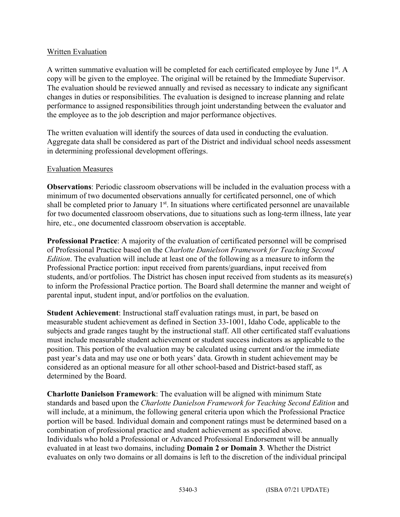## Written Evaluation

A written summative evaluation will be completed for each certificated employee by June  $1<sup>st</sup>$ . A copy will be given to the employee. The original will be retained by the Immediate Supervisor. The evaluation should be reviewed annually and revised as necessary to indicate any significant changes in duties or responsibilities. The evaluation is designed to increase planning and relate performance to assigned responsibilities through joint understanding between the evaluator and the employee as to the job description and major performance objectives.

The written evaluation will identify the sources of data used in conducting the evaluation. Aggregate data shall be considered as part of the District and individual school needs assessment in determining professional development offerings.

### Evaluation Measures

**Observations**: Periodic classroom observations will be included in the evaluation process with a minimum of two documented observations annually for certificated personnel, one of which shall be completed prior to January  $1<sup>st</sup>$ . In situations where certificated personnel are unavailable for two documented classroom observations, due to situations such as long-term illness, late year hire, etc., one documented classroom observation is acceptable.

**Professional Practice**: A majority of the evaluation of certificated personnel will be comprised of Professional Practice based on the *Charlotte Danielson Framework for Teaching Second Edition*. The evaluation will include at least one of the following as a measure to inform the Professional Practice portion: input received from parents/guardians, input received from students, and/or portfolios. The District has chosen input received from students as its measure(s) to inform the Professional Practice portion. The Board shall determine the manner and weight of parental input, student input, and/or portfolios on the evaluation.

**Student Achievement**: Instructional staff evaluation ratings must, in part, be based on measurable student achievement as defined in Section 33-1001, Idaho Code, applicable to the subjects and grade ranges taught by the instructional staff. All other certificated staff evaluations must include measurable student achievement or student success indicators as applicable to the position. This portion of the evaluation may be calculated using current and/or the immediate past year's data and may use one or both years' data. Growth in student achievement may be considered as an optional measure for all other school-based and District-based staff, as determined by the Board.

**Charlotte Danielson Framework**: The evaluation will be aligned with minimum State standards and based upon the *Charlotte Danielson Framework for Teaching Second Edition* and will include, at a minimum, the following general criteria upon which the Professional Practice portion will be based. Individual domain and component ratings must be determined based on a combination of professional practice and student achievement as specified above. Individuals who hold a Professional or Advanced Professional Endorsement will be annually evaluated in at least two domains, including **Domain 2 or Domain 3**. Whether the District evaluates on only two domains or all domains is left to the discretion of the individual principal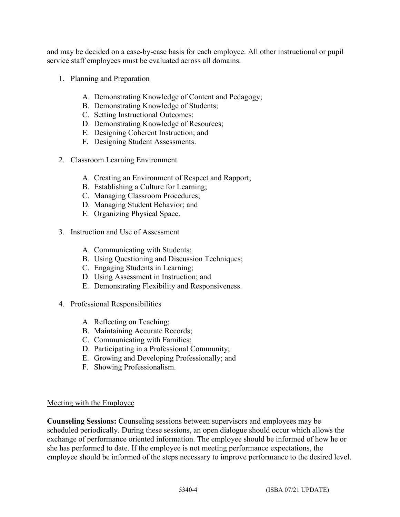and may be decided on a case-by-case basis for each employee. All other instructional or pupil service staff employees must be evaluated across all domains.

- 1. Planning and Preparation
	- A. Demonstrating Knowledge of Content and Pedagogy;
	- B. Demonstrating Knowledge of Students;
	- C. Setting Instructional Outcomes;
	- D. Demonstrating Knowledge of Resources;
	- E. Designing Coherent Instruction; and
	- F. Designing Student Assessments.
- 2. Classroom Learning Environment
	- A. Creating an Environment of Respect and Rapport;
	- B. Establishing a Culture for Learning;
	- C. Managing Classroom Procedures;
	- D. Managing Student Behavior; and
	- E. Organizing Physical Space.
- 3. Instruction and Use of Assessment
	- A. Communicating with Students;
	- B. Using Questioning and Discussion Techniques;
	- C. Engaging Students in Learning;
	- D. Using Assessment in Instruction; and
	- E. Demonstrating Flexibility and Responsiveness.
- 4. Professional Responsibilities
	- A. Reflecting on Teaching;
	- B. Maintaining Accurate Records;
	- C. Communicating with Families;
	- D. Participating in a Professional Community;
	- E. Growing and Developing Professionally; and
	- F. Showing Professionalism.

#### Meeting with the Employee

**Counseling Sessions:** Counseling sessions between supervisors and employees may be scheduled periodically. During these sessions, an open dialogue should occur which allows the exchange of performance oriented information. The employee should be informed of how he or she has performed to date. If the employee is not meeting performance expectations, the employee should be informed of the steps necessary to improve performance to the desired level.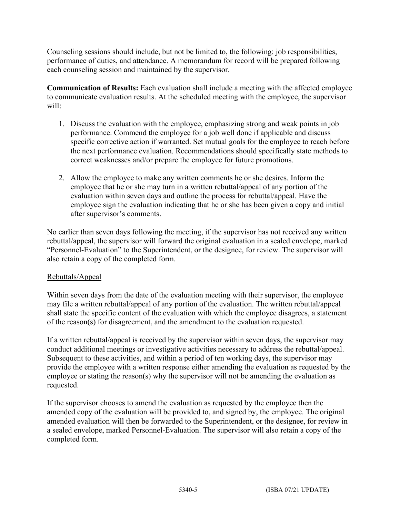Counseling sessions should include, but not be limited to, the following: job responsibilities, performance of duties, and attendance. A memorandum for record will be prepared following each counseling session and maintained by the supervisor.

**Communication of Results:** Each evaluation shall include a meeting with the affected employee to communicate evaluation results. At the scheduled meeting with the employee, the supervisor will:

- 1. Discuss the evaluation with the employee, emphasizing strong and weak points in job performance. Commend the employee for a job well done if applicable and discuss specific corrective action if warranted. Set mutual goals for the employee to reach before the next performance evaluation. Recommendations should specifically state methods to correct weaknesses and/or prepare the employee for future promotions.
- 2. Allow the employee to make any written comments he or she desires. Inform the employee that he or she may turn in a written rebuttal/appeal of any portion of the evaluation within seven days and outline the process for rebuttal/appeal. Have the employee sign the evaluation indicating that he or she has been given a copy and initial after supervisor's comments.

No earlier than seven days following the meeting, if the supervisor has not received any written rebuttal/appeal, the supervisor will forward the original evaluation in a sealed envelope, marked "Personnel-Evaluation" to the Superintendent, or the designee, for review. The supervisor will also retain a copy of the completed form.

# Rebuttals/Appeal

Within seven days from the date of the evaluation meeting with their supervisor, the employee may file a written rebuttal/appeal of any portion of the evaluation. The written rebuttal/appeal shall state the specific content of the evaluation with which the employee disagrees, a statement of the reason(s) for disagreement, and the amendment to the evaluation requested.

If a written rebuttal/appeal is received by the supervisor within seven days, the supervisor may conduct additional meetings or investigative activities necessary to address the rebuttal/appeal. Subsequent to these activities, and within a period of ten working days, the supervisor may provide the employee with a written response either amending the evaluation as requested by the employee or stating the reason(s) why the supervisor will not be amending the evaluation as requested.

If the supervisor chooses to amend the evaluation as requested by the employee then the amended copy of the evaluation will be provided to, and signed by, the employee. The original amended evaluation will then be forwarded to the Superintendent, or the designee, for review in a sealed envelope, marked Personnel-Evaluation. The supervisor will also retain a copy of the completed form.